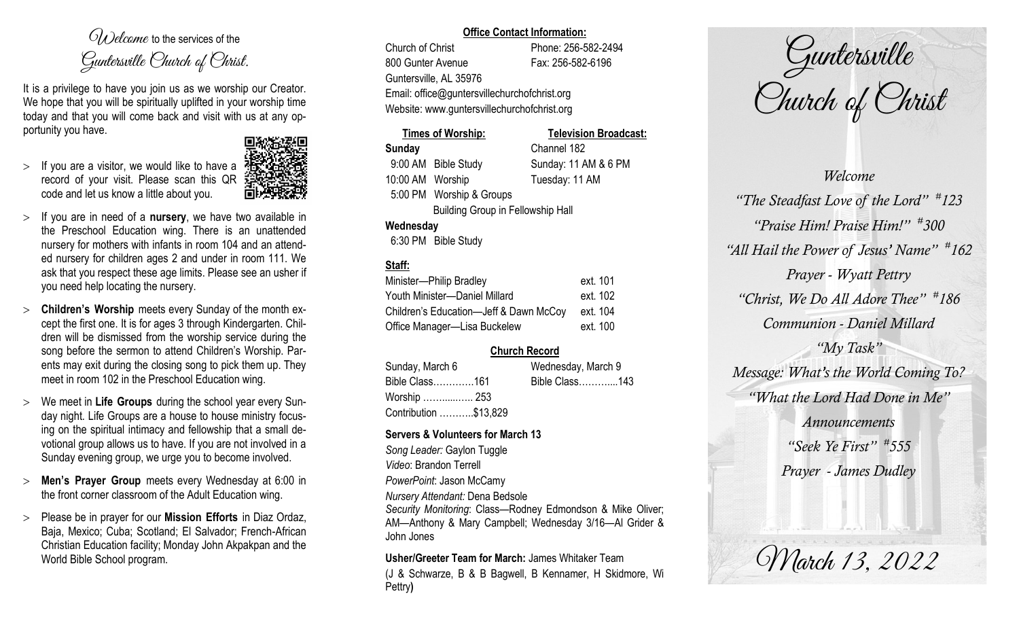$O(\lambda)$  elcame to the services of the Guntersville Church of Christ.

It is a privilege to have you join us as we worship our Creator. We hope that you will be spiritually uplifted in your worship time today and that you will come back and visit with us at any opportunity you have.

 $>$  If you are a visitor, we would like to have a record of your visit. Please scan this QR code and let us know a little about you.



- If you are in need of a **nursery**, we have two available in the Preschool Education wing. There is an unattended nursery for mothers with infants in room 104 and an attended nursery for children ages 2 and under in room 111. We ask that you respect these age limits. Please see an usher if you need help locating the nursery.
- **Children's Worship** meets every Sunday of the month except the first one. It is for ages 3 through Kindergarten. Children will be dismissed from the worship service during the song before the sermon to attend Children's Worship. Parents may exit during the closing song to pick them up. They meet in room 102 in the Preschool Education wing.
- We meet in **Life Groups** during the school year every Sunday night. Life Groups are a house to house ministry focusing on the spiritual intimacy and fellowship that a small devotional group allows us to have. If you are not involved in a Sunday evening group, we urge you to become involved.
- **Men's Prayer Group** meets every Wednesday at 6:00 in the front corner classroom of the Adult Education wing.
- Please be in prayer for our **Mission Efforts** in Diaz Ordaz, Baja, Mexico; Cuba; Scotland; El Salvador; French-African Christian Education facility; Monday John Akpakpan and the World Bible School program.

#### **Office Contact Information:**

Church of Christ Phone: 256-582-2494 800 Gunter Avenue Fax: 256-582-6196 Guntersville, AL 35976 Email: office@guntersvillechurchofchrist.org Website: www.guntersvillechurchofchrist.org

# **Times of Worship: Television Broadcast: Sunday** Channel 182

9:00 AM Bible Study Sunday: 11 AM & 6 PM 10:00 AM Worship Tuesday: 11 AM 5:00 PM Worship & Groups

Building Group in Fellowship Hall

## **Wednesday**

6:30 PM Bible Study

## **Staff:**

| Minister-Philip Bradley                | ext. 101 |
|----------------------------------------|----------|
| Youth Minister-Daniel Millard          | ext. 102 |
| Children's Education-Jeff & Dawn McCoy | ext. 104 |
| Office Manager-Lisa Buckelew           | ext. 100 |

## **Church Record**

| Sunday, March 6       |  | Wednesday, March 9 |  |
|-----------------------|--|--------------------|--|
| Bible Class161        |  | Bible Class143     |  |
| Worship  253          |  |                    |  |
| Contribution \$13,829 |  |                    |  |

## **Servers & Volunteers for March 13**

*Song Leader:* Gaylon Tuggle *Video*: Brandon Terrell *PowerPoint*: Jason McCamy *Nursery Attendant:* Dena Bedsole *Security Monitoring*: Class—Rodney Edmondson & Mike Oliver; AM—Anthony & Mary Campbell; Wednesday 3/16—Al Grider & John Jones

**Usher/Greeter Team for March:** James Whitaker Team

(J & Schwarze, B & B Bagwell, B Kennamer, H Skidmore, Wi Pettry**)** 

Guntersville Church of Christ

*Welcome "The Steadfast Love of the Lord" # 123 "Praise Him! Praise Him!" # 300 "All Hail the Power of Jesus' Name" # 162 Prayer - Wyatt Pettry "Christ, We Do All Adore Thee" # 186 Communion - Daniel Millard "My Task" Message: What's the World Coming To? "What the Lord Had Done in Me" Announcements "Seek Ye First" # 555 Prayer - James Dudley*

March 13, 2022